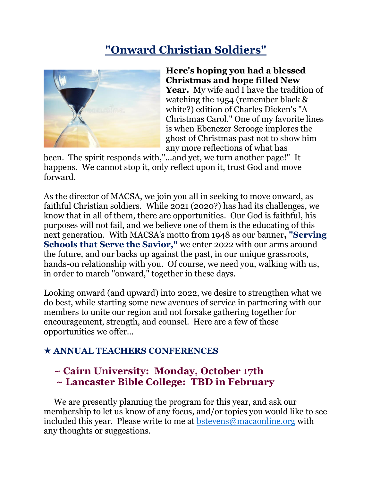# **"Onward Christian Soldiers"**



**Here's hoping you had a blessed Christmas and hope filled New Year.** My wife and I have the tradition of watching the 1954 (remember black & white?) edition of Charles Dicken's "A Christmas Carol." One of my favorite lines is when Ebenezer Scrooge implores the ghost of Christmas past not to show him any more reflections of what has

been. The spirit responds with,"...and yet, we turn another page!" It happens. We cannot stop it, only reflect upon it, trust God and move forward.

As the director of MACSA, we join you all in seeking to move onward, as faithful Christian soldiers. While 2021 (2020?) has had its challenges, we know that in all of them, there are opportunities. Our God is faithful, his purposes will not fail, and we believe one of them is the educating of this next generation. With MACSA's motto from 1948 as our banner**, "Serving Schools that Serve the Savior,"** we enter 2022 with our arms around the future, and our backs up against the past, in our unique grassroots, hands-on relationship with you. Of course, we need you, walking with us, in order to march "onward," together in these days.

Looking onward (and upward) into 2022, we desire to strengthen what we do best, while starting some new avenues of service in partnering with our members to unite our region and not forsake gathering together for encouragement, strength, and counsel. Here are a few of these opportunities we offer...

## **ANNUAL TEACHERS CONFERENCES**

# **~ Cairn University: Monday, October 17th ~ Lancaster Bible College: TBD in February**

We are presently planning the program for this year, and ask our membership to let us know of any focus, and/or topics you would like to see included this year. Please write to me at [bstevens@macaonline.org](javascript:void(0);) with any thoughts or suggestions.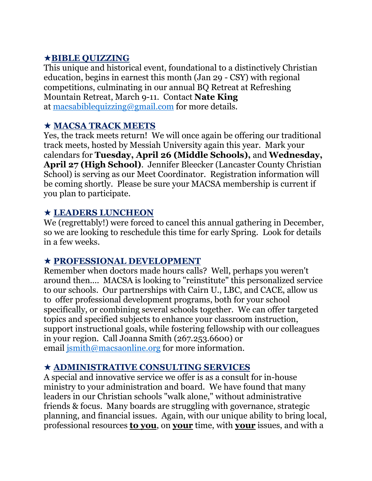### **BIBLE QUIZZING**

This unique and historical event, foundational to a distinctively Christian education, begins in earnest this month (Jan 29 - CSY) with regional competitions, culminating in our annual BQ Retreat at Refreshing Mountain Retreat, March 9-11. Contact **Nate King** at [macsabiblequizzing@gmail.com](javascript:void(0);) for more details.

### **MACSA TRACK MEETS**

Yes, the track meets return! We will once again be offering our traditional track meets, hosted by Messiah University again this year. Mark your calendars for **Tuesday, April 26 (Middle Schools),** and **Wednesday, April 27 (High School)**. Jennifer Bleecker (Lancaster County Christian School) is serving as our Meet Coordinator. Registration information will be coming shortly. Please be sure your MACSA membership is current if you plan to participate.

#### **LEADERS LUNCHEON**

We (regrettably!) were forced to cancel this annual gathering in December, so we are looking to reschedule this time for early Spring. Look for details in a few weeks.

#### **PROFESSIONAL DEVELOPMENT**

Remember when doctors made hours calls? Well, perhaps you weren't around then.... MACSA is looking to "reinstitute" this personalized service to our schools. Our partnerships with Cairn U., LBC, and CACE, allow us to offer professional development programs, both for your school specifically, or combining several schools together. We can offer targeted topics and specified subjects to enhance your classroom instruction, support instructional goals, while fostering fellowship with our colleagues in your region. Call Joanna Smith (267.253.6600) or email ismith@macsaonline.org for more information.

#### **ADMINISTRATIVE CONSULTING SERVICES**

A special and innovative service we offer is as a consult for in-house ministry to your administration and board. We have found that many leaders in our Christian schools "walk alone," without administrative friends & focus. Many boards are struggling with governance, strategic planning, and financial issues. Again, with our unique ability to bring local, professional resources **to you**, on **your** time, with **your** issues, and with a